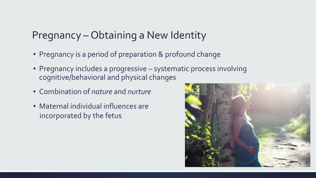#### Pregnancy – Obtaining a New Identity

- **Pregnancy is a period of preparation & profound change**
- **Pregnancy includes a progressive systematic process involving** cognitive/behavioral and physical changes
- Combination of *nature* and *nurture*
- Maternal individual influences are incorporated by the fetus

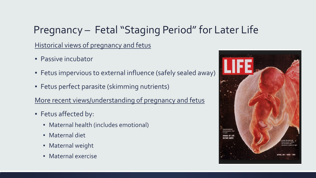# Pregnancy – Fetal "Staging Period" for Later Life

Historical views of pregnancy and fetus

- **Passive incubator**
- **EXECT:** Fetus impervious to external influence (safely sealed away)
- **EXECT:** Fetus perfect parasite (skimming nutrients)

More recent views/understanding of pregnancy and fetus

- Fetus affected by:
	- Maternal health (includes emotional)
	- **■** Maternal diet
	- **Maternal weight**
	- Maternal exercise

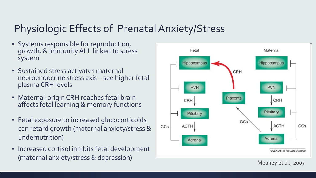#### Physiologic Effects of Prenatal Anxiety/Stress

- Systems responsible for reproduction, growth, & immunity ALL linked to stress system
- Sustained stress activates maternal neuroendocrine stress axis – see higher fetal plasma CRH levels
- **Maternal-origin CRH reaches fetal brain** affects fetal learning & memory functions
- **EXECTE Fetal exposure to increased glucocorticoids** can retard growth (maternal anxiety/stress & undernutrition)
- **EXECT:** Increased cortisol inhibits fetal development (maternal anxiety/stress & depression) Meaney et al., 2007

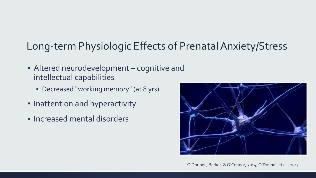## Long-term Physiologic Effects of Prenatal Anxiety/Stress

- **EXEL Altered neurodevelopment cognitive and** intellectual capabilities
	- Decreased "working memory" (at 8 yrs)
- **.** Inattention and hyperactivity
- Increased mental disorders



O'Donnell, Barker, & O'Connor, 2014; O'Donnell et al., 2017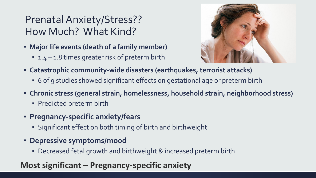## Prenatal Anxiety/Stress?? How Much? What Kind?

- **Major life events (death of a family member)**
	- 1.4 1.8 times greater risk of preterm birth



- **Catastrophic community-wide disasters (earthquakes, terrorist attacks)**
	- 6 of 9 studies showed significant effects on gestational age or preterm birth
- **Chronic stress (general strain, homelessness, household strain, neighborhood stress)**
	- **Predicted preterm birth**
- **Pregnancy-specific anxiety/fears**
	- Significant effect on both timing of birth and birthweight
- **Depressive symptoms/mood**
	- Decreased fetal growth and birthweight & increased preterm birth

#### **Most significant** – **Pregnancy-specific anxiety**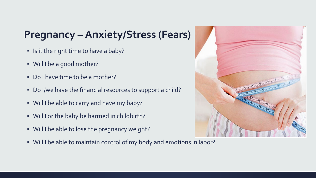#### **Pregnancy –Anxiety/Stress (Fears)**

- **E** Is it the right time to have a baby?
- Will I be a good mother?
- Do I have time to be a mother?
- Do I/we have the financial resources to support a child?
- Will I be able to carry and have my baby?
- Will I or the baby be harmed in childbirth?
- Will I be able to lose the pregnancy weight?
- Will I be able to maintain control of my body and emotions in labor?

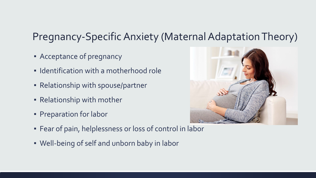#### Pregnancy-Specific Anxiety (Maternal Adaptation Theory)

- **EXPLO Acceptance of pregnancy**
- **Example 1 I** Identification with a motherhood role
- **Relationship with spouse/partner**
- **Relationship with mother**
- **Preparation for labor**



- **Example 1** Fear of pain, helplessness or loss of control in labor
- Well-being of self and unborn baby in labor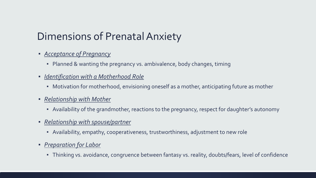## Dimensions of Prenatal Anxiety

- *Acceptance of Pregnancy*
	- Planned & wanting the pregnancy vs. ambivalence, body changes, timing
- *Identification with a Motherhood Role*
	- **•** Motivation for motherhood, envisioning oneself as a mother, anticipating future as mother
- *Relationship with Mother*
	- Availability of the grandmother, reactions to the pregnancy, respect for daughter's autonomy
- *Relationship with spouse/partner*
	- Availability, empathy, cooperativeness, trustworthiness, adjustment to new role
- *Preparation for Labor*
	- **·** Thinking vs. avoidance, congruence between fantasy vs. reality, doubts/fears, level of confidence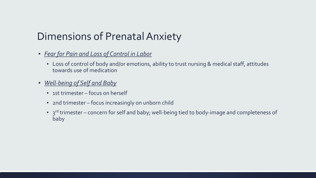#### Dimensions of Prenatal Anxiety

- *Fear for Pain and Loss of Control in Labor*
	- Loss of control of body and/or emotions, ability to trust nursing & medical staff, attitudes towards use of medication
- *Well-being of Self and Baby*
	- 1st trimester focus on herself
	- 2nd trimester focus increasingly on unborn child
	- **•** 3<sup>rd</sup> trimester concern for self and baby; well-being tied to body-image and completeness of baby